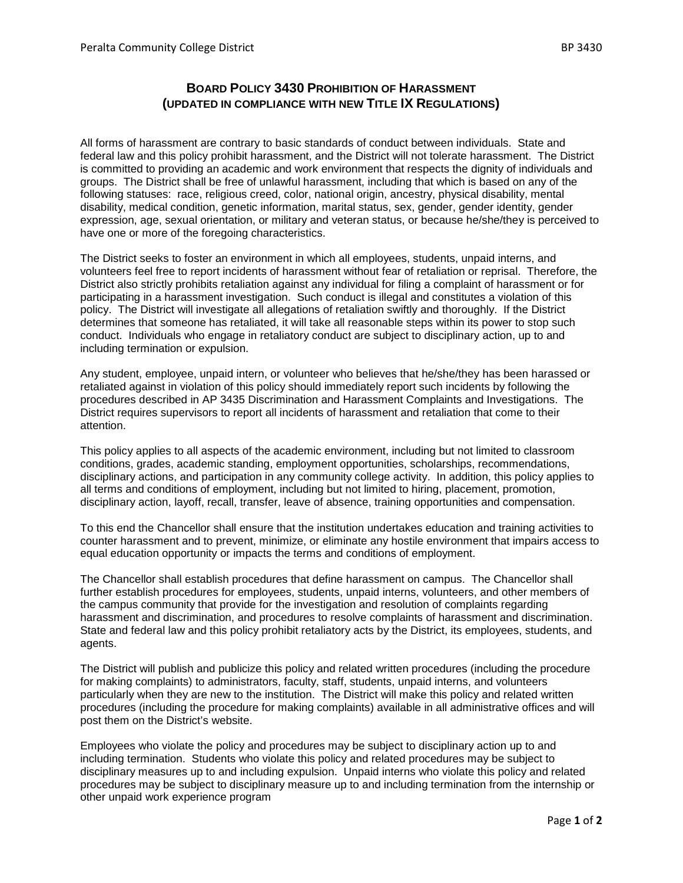## **BOARD POLICY 3430 PROHIBITION OF HARASSMENT (UPDATED IN COMPLIANCE WITH NEW TITLE IX REGULATIONS)**

All forms of harassment are contrary to basic standards of conduct between individuals. State and federal law and this policy prohibit harassment, and the District will not tolerate harassment. The District is committed to providing an academic and work environment that respects the dignity of individuals and groups. The District shall be free of unlawful harassment, including that which is based on any of the following statuses: race, religious creed, color, national origin, ancestry, physical disability, mental disability, medical condition, genetic information, marital status, sex, gender, gender identity, gender expression, age, sexual orientation, or military and veteran status, or because he/she/they is perceived to have one or more of the foregoing characteristics.

The District seeks to foster an environment in which all employees, students, unpaid interns, and volunteers feel free to report incidents of harassment without fear of retaliation or reprisal. Therefore, the District also strictly prohibits retaliation against any individual for filing a complaint of harassment or for participating in a harassment investigation. Such conduct is illegal and constitutes a violation of this policy. The District will investigate all allegations of retaliation swiftly and thoroughly. If the District determines that someone has retaliated, it will take all reasonable steps within its power to stop such conduct. Individuals who engage in retaliatory conduct are subject to disciplinary action, up to and including termination or expulsion.

Any student, employee, unpaid intern, or volunteer who believes that he/she/they has been harassed or retaliated against in violation of this policy should immediately report such incidents by following the procedures described in AP 3435 Discrimination and Harassment Complaints and Investigations. The District requires supervisors to report all incidents of harassment and retaliation that come to their attention.

This policy applies to all aspects of the academic environment, including but not limited to classroom conditions, grades, academic standing, employment opportunities, scholarships, recommendations, disciplinary actions, and participation in any community college activity. In addition, this policy applies to all terms and conditions of employment, including but not limited to hiring, placement, promotion, disciplinary action, layoff, recall, transfer, leave of absence, training opportunities and compensation.

To this end the Chancellor shall ensure that the institution undertakes education and training activities to counter harassment and to prevent, minimize, or eliminate any hostile environment that impairs access to equal education opportunity or impacts the terms and conditions of employment.

The Chancellor shall establish procedures that define harassment on campus. The Chancellor shall further establish procedures for employees, students, unpaid interns, volunteers, and other members of the campus community that provide for the investigation and resolution of complaints regarding harassment and discrimination, and procedures to resolve complaints of harassment and discrimination. State and federal law and this policy prohibit retaliatory acts by the District, its employees, students, and agents.

The District will publish and publicize this policy and related written procedures (including the procedure for making complaints) to administrators, faculty, staff, students, unpaid interns, and volunteers particularly when they are new to the institution. The District will make this policy and related written procedures (including the procedure for making complaints) available in all administrative offices and will post them on the District's website.

Employees who violate the policy and procedures may be subject to disciplinary action up to and including termination. Students who violate this policy and related procedures may be subject to disciplinary measures up to and including expulsion. Unpaid interns who violate this policy and related procedures may be subject to disciplinary measure up to and including termination from the internship or other unpaid work experience program